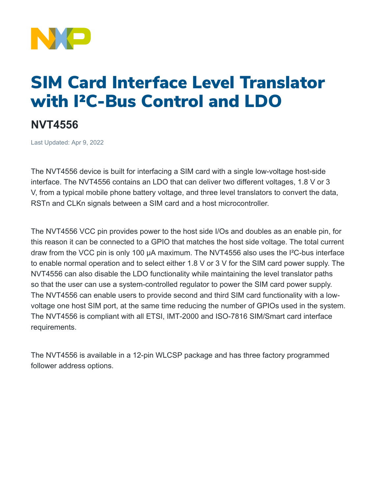

## SIM Card Interface Level Translator with I²C-Bus Control and LDO

## **NVT4556**

Last Updated: Apr 9, 2022

The NVT4556 device is built for interfacing a SIM card with a single low-voltage host-side interface. The NVT4556 contains an LDO that can deliver two different voltages, 1.8 V or 3 V, from a typical mobile phone battery voltage, and three level translators to convert the data, RSTn and CLKn signals between a SIM card and a host microcontroller.

The NVT4556 VCC pin provides power to the host side I/Os and doubles as an enable pin, for this reason it can be connected to a GPIO that matches the host side voltage. The total current draw from the VCC pin is only 100 μA maximum. The NVT4556 also uses the I²C-bus interface to enable normal operation and to select either 1.8 V or 3 V for the SIM card power supply. The NVT4556 can also disable the LDO functionality while maintaining the level translator paths so that the user can use a system-controlled regulator to power the SIM card power supply. The NVT4556 can enable users to provide second and third SIM card functionality with a lowvoltage one host SIM port, at the same time reducing the number of GPIOs used in the system. The NVT4556 is compliant with all ETSI, IMT-2000 and ISO-7816 SIM/Smart card interface requirements.

The NVT4556 is available in a 12-pin WLCSP package and has three factory programmed follower address options.